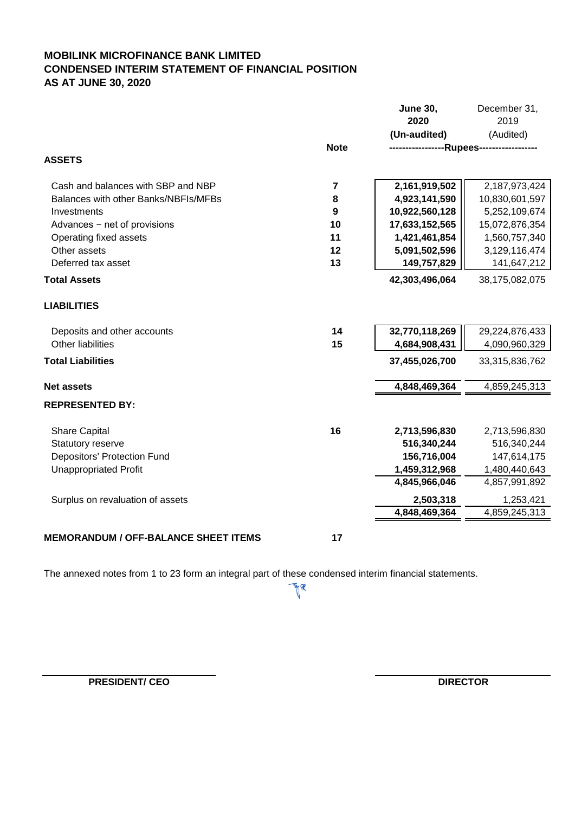# **MOBILINK MICROFINANCE BANK LIMITED CONDENSED INTERIM STATEMENT OF FINANCIAL POSITION AS AT JUNE 30, 2020**

|                                             |                         | <b>June 30,</b><br>2020 | December 31,<br>2019 |
|---------------------------------------------|-------------------------|-------------------------|----------------------|
|                                             |                         | (Un-audited)            | (Audited)            |
|                                             | <b>Note</b>             | ---------------         | --Rupees------------ |
| <b>ASSETS</b>                               |                         |                         |                      |
| Cash and balances with SBP and NBP          | $\overline{\mathbf{r}}$ | 2,161,919,502           | 2,187,973,424        |
| Balances with other Banks/NBFIs/MFBs        | 8                       | 4,923,141,590           | 10,830,601,597       |
| Investments                                 | 9                       | 10,922,560,128          | 5,252,109,674        |
| Advances - net of provisions                | 10                      | 17,633,152,565          | 15,072,876,354       |
| Operating fixed assets                      | 11                      | 1,421,461,854           | 1,560,757,340        |
| Other assets                                | 12                      | 5,091,502,596           | 3,129,116,474        |
| Deferred tax asset                          | 13                      | 149,757,829             | 141,647,212          |
| <b>Total Assets</b>                         |                         | 42,303,496,064          | 38,175,082,075       |
| <b>LIABILITIES</b>                          |                         |                         |                      |
| Deposits and other accounts                 | 14                      | 32,770,118,269          | 29,224,876,433       |
| <b>Other liabilities</b>                    | 15                      | 4,684,908,431           | 4,090,960,329        |
| <b>Total Liabilities</b>                    |                         | 37,455,026,700          | 33,315,836,762       |
| <b>Net assets</b>                           |                         | 4,848,469,364           | 4,859,245,313        |
| <b>REPRESENTED BY:</b>                      |                         |                         |                      |
| Share Capital                               | 16                      | 2,713,596,830           | 2,713,596,830        |
| Statutory reserve                           |                         | 516,340,244             | 516,340,244          |
| <b>Depositors' Protection Fund</b>          |                         | 156,716,004             | 147,614,175          |
| <b>Unappropriated Profit</b>                |                         | 1,459,312,968           | 1,480,440,643        |
|                                             |                         | 4,845,966,046           | 4,857,991,892        |
| Surplus on revaluation of assets            |                         | 2,503,318               | 1,253,421            |
|                                             |                         | 4,848,469,364           | 4,859,245,313        |
| <b>MEMORANDUM / OFF-BALANCE SHEET ITEMS</b> | 17                      |                         |                      |

The annexed notes from 1 to 23 form an integral part of these condensed interim financial statements.

MR

**PRESIDENT/ CEO** DIRECTOR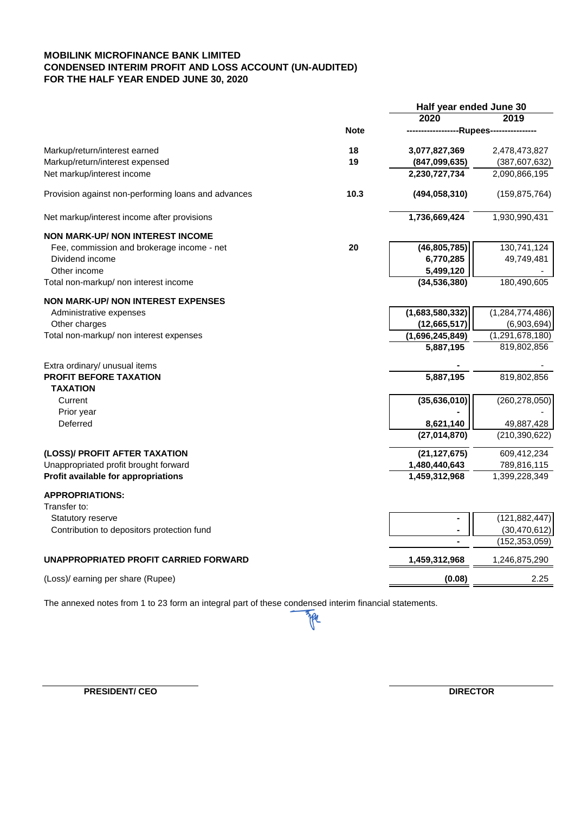## **MOBILINK MICROFINANCE BANK LIMITED CONDENSED INTERIM PROFIT AND LOSS ACCOUNT (UN-AUDITED) FOR THE HALF YEAR ENDED JUNE 30, 2020**

|                                                     |             | Half year ended June 30                  |                    |
|-----------------------------------------------------|-------------|------------------------------------------|--------------------|
|                                                     |             | 2020                                     | 2019               |
|                                                     | <b>Note</b> | ------------------Rupees---------------- |                    |
| Markup/return/interest earned                       | 18          | 3,077,827,369                            | 2,478,473,827      |
| Markup/return/interest expensed                     | 19          | (847,099,635)                            | (387, 607, 632)    |
| Net markup/interest income                          |             | 2,230,727,734                            | 2,090,866,195      |
| Provision against non-performing loans and advances | 10.3        | (494, 058, 310)                          | (159, 875, 764)    |
| Net markup/interest income after provisions         |             | 1,736,669,424                            | 1,930,990,431      |
| <b>NON MARK-UP/ NON INTEREST INCOME</b>             |             |                                          |                    |
| Fee, commission and brokerage income - net          | 20          | (46, 805, 785)                           | 130,741,124        |
| Dividend income                                     |             | 6,770,285                                | 49,749,481         |
| Other income                                        |             | 5,499,120                                |                    |
| Total non-markup/ non interest income               |             | (34, 536, 380)                           | 180,490,605        |
| <b>NON MARK-UP/ NON INTEREST EXPENSES</b>           |             |                                          |                    |
| Administrative expenses                             |             | (1,683,580,332)                          | (1, 284, 774, 486) |
| Other charges                                       |             | (12,665,517)                             | (6,903,694)        |
| Total non-markup/ non interest expenses             |             | (1,696,245,849)                          | (1, 291, 678, 180) |
|                                                     |             | 5,887,195                                | 819,802,856        |
| Extra ordinary/ unusual items                       |             |                                          |                    |
| <b>PROFIT BEFORE TAXATION</b>                       |             | 5,887,195                                | 819,802,856        |
| <b>TAXATION</b>                                     |             |                                          |                    |
| Current                                             |             | (35, 636, 010)                           | (260, 278, 050)    |
| Prior year                                          |             |                                          |                    |
| Deferred                                            |             | 8,621,140                                | 49,887,428         |
|                                                     |             | (27,014,870)                             | (210, 390, 622)    |
| (LOSS)/ PROFIT AFTER TAXATION                       |             | (21, 127, 675)                           | 609,412,234        |
| Unappropriated profit brought forward               |             | 1,480,440,643                            | 789,816,115        |
| Profit available for appropriations                 |             | 1,459,312,968                            | 1,399,228,349      |
| <b>APPROPRIATIONS:</b>                              |             |                                          |                    |
| Transfer to:                                        |             |                                          |                    |
| <b>Statutory reserve</b>                            |             |                                          | (121, 882, 447)    |
| Contribution to depositors protection fund          |             |                                          | (30, 470, 612)     |
|                                                     |             |                                          | (152, 353, 059)    |
| UNAPPROPRIATED PROFIT CARRIED FORWARD               |             | 1,459,312,968                            | 1,246,875,290      |
| (Loss)/ earning per share (Rupee)                   |             | (0.08)                                   | 2.25               |

**FIFE** 

The annexed notes from 1 to 23 form an integral part of these condensed interim financial statements.

**PRESIDENT/ CEO DIRECTOR**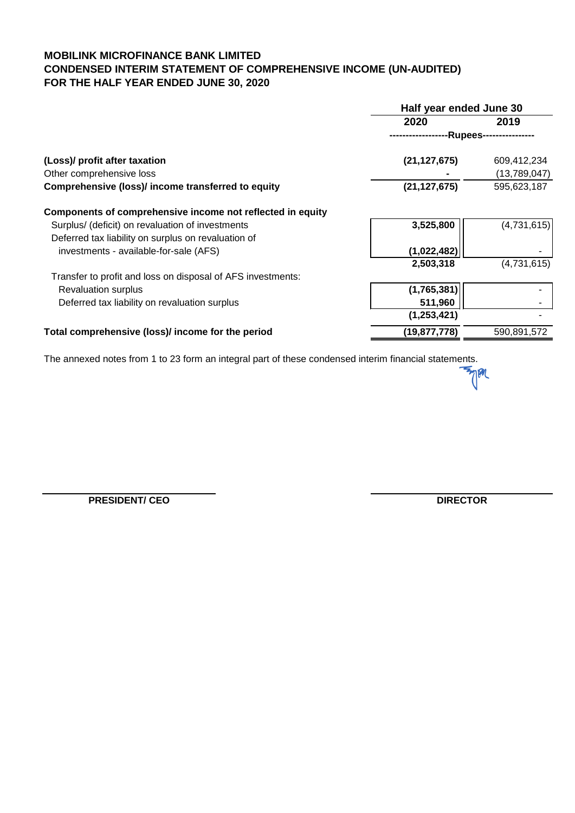# **MOBILINK MICROFINANCE BANK LIMITED CONDENSED INTERIM STATEMENT OF COMPREHENSIVE INCOME (UN-AUDITED) FOR THE HALF YEAR ENDED JUNE 30, 2020**

|                                                             | Half year ended June 30 |                         |  |
|-------------------------------------------------------------|-------------------------|-------------------------|--|
|                                                             | 2020                    | 2019                    |  |
|                                                             |                         | -Rupees---------------- |  |
| (Loss)/ profit after taxation                               | (21, 127, 675)          | 609,412,234             |  |
| Other comprehensive loss                                    |                         | (13,789,047)            |  |
| Comprehensive (loss)/ income transferred to equity          | (21, 127, 675)          | 595,623,187             |  |
| Components of comprehensive income not reflected in equity  |                         |                         |  |
| Surplus/ (deficit) on revaluation of investments            | 3,525,800               | (4,731,615)             |  |
| Deferred tax liability on surplus on revaluation of         |                         |                         |  |
| investments - available-for-sale (AFS)                      | (1,022,482)             |                         |  |
|                                                             | 2,503,318               | (4,731,615)             |  |
| Transfer to profit and loss on disposal of AFS investments: |                         |                         |  |
| <b>Revaluation surplus</b>                                  | (1,765,381)             |                         |  |
| Deferred tax liability on revaluation surplus               | 511,960                 |                         |  |
|                                                             | (1,253,421)             |                         |  |
| Total comprehensive (loss)/ income for the period           | (19,877,778)            | 590,891,572             |  |

The annexed notes from 1 to 23 form an integral part of these condensed interim financial statements.

**PRESIDENT/ CEO** DIRECTOR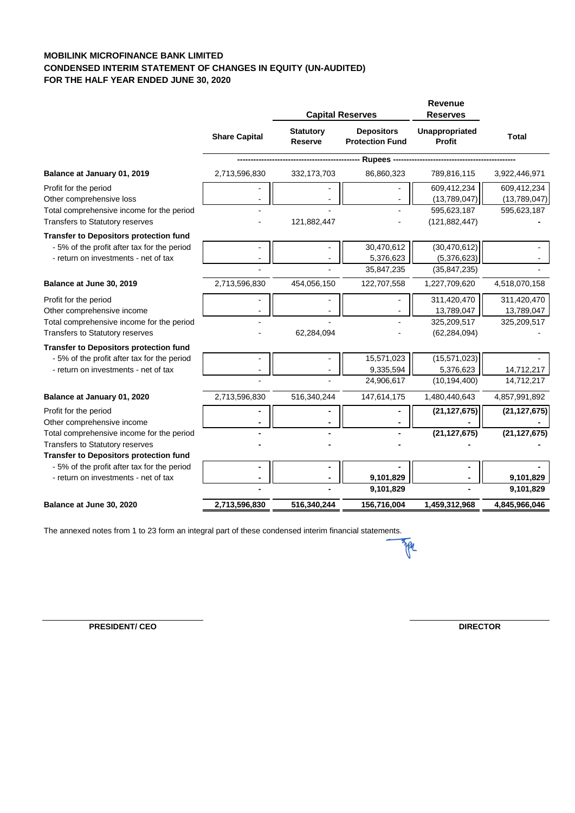## **MOBILINK MICROFINANCE BANK LIMITED CONDENSED INTERIM STATEMENT OF CHANGES IN EQUITY (UN-AUDITED) FOR THE HALF YEAR ENDED JUNE 30, 2020**

|                                                                                              | <b>Capital Reserves</b> |                                    | <b>Revenue</b><br><b>Reserves</b>           |                                |                             |
|----------------------------------------------------------------------------------------------|-------------------------|------------------------------------|---------------------------------------------|--------------------------------|-----------------------------|
|                                                                                              | <b>Share Capital</b>    | <b>Statutory</b><br><b>Reserve</b> | <b>Depositors</b><br><b>Protection Fund</b> | Unappropriated<br>Profit       | <b>Total</b>                |
|                                                                                              |                         |                                    | Rupees -                                    |                                |                             |
| Balance at January 01, 2019                                                                  | 2,713,596,830           | 332, 173, 703                      | 86,860,323                                  | 789,816,115                    | 3,922,446,971               |
| Profit for the period<br>Other comprehensive loss                                            |                         |                                    |                                             | 609,412,234<br>(13,789,047)    | 609,412,234<br>(13,789,047) |
| Total comprehensive income for the period<br>Transfers to Statutory reserves                 |                         | 121,882,447                        |                                             | 595,623,187<br>(121, 882, 447) | 595,623,187                 |
| <b>Transfer to Depositors protection fund</b>                                                |                         |                                    |                                             |                                |                             |
| - 5% of the profit after tax for the period<br>- return on investments - net of tax          |                         |                                    | 30,470,612<br>5,376,623                     | (30, 470, 612)<br>(5,376,623)  |                             |
|                                                                                              |                         |                                    | 35,847,235                                  | (35, 847, 235)                 |                             |
| Balance at June 30, 2019                                                                     | 2,713,596,830           | 454,056,150                        | 122,707,558                                 | 1,227,709,620                  | 4,518,070,158               |
| Profit for the period<br>Other comprehensive income                                          |                         |                                    |                                             | 311,420,470<br>13,789,047      | 311,420,470<br>13,789,047   |
| Total comprehensive income for the period<br>Transfers to Statutory reserves                 |                         | 62,284,094                         |                                             | 325,209,517<br>(62, 284, 094)  | 325,209,517                 |
| <b>Transfer to Depositors protection fund</b><br>- 5% of the profit after tax for the period |                         |                                    | 15,571,023                                  | (15,571,023)                   |                             |
| - return on investments - net of tax                                                         |                         |                                    | 9,335,594                                   | 5,376,623                      | 14,712,217                  |
|                                                                                              |                         |                                    | 24,906,617                                  | (10, 194, 400)                 | 14,712,217                  |
| Balance at January 01, 2020                                                                  | 2,713,596,830           | 516,340,244                        | 147,614,175                                 | 1,480,440,643                  | 4,857,991,892               |
| Profit for the period<br>Other comprehensive income                                          |                         |                                    |                                             | (21, 127, 675)                 | (21, 127, 675)              |
| Total comprehensive income for the period<br>Transfers to Statutory reserves                 |                         |                                    |                                             | (21, 127, 675)                 | (21, 127, 675)              |
| <b>Transfer to Depositors protection fund</b>                                                |                         |                                    |                                             |                                |                             |
| - 5% of the profit after tax for the period<br>- return on investments - net of tax          |                         |                                    | 9,101,829                                   |                                | 9,101,829                   |
|                                                                                              |                         |                                    | 9,101,829                                   |                                | 9,101,829                   |
| Balance at June 30, 2020                                                                     | 2,713,596,830           | 516,340,244                        | 156,716,004                                 | 1,459,312,968                  | 4,845,966,046               |
|                                                                                              |                         |                                    |                                             |                                |                             |

The annexed notes from 1 to 23 form an integral part of these condensed interim financial statements.

**PRESIDENT/ CEO**

**DIRECTOR**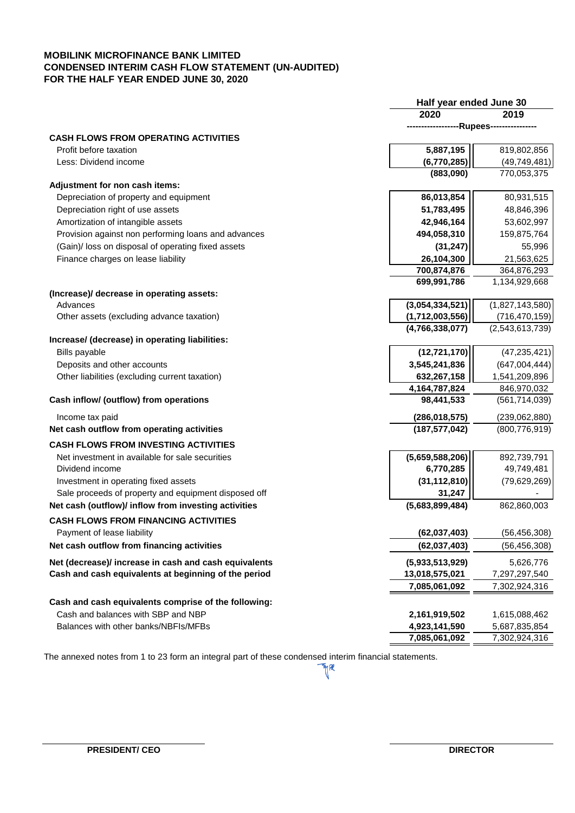## **MOBILINK MICROFINANCE BANK LIMITED CONDENSED INTERIM CASH FLOW STATEMENT (UN-AUDITED) FOR THE HALF YEAR ENDED JUNE 30, 2020**

|                                                                           | Half year ended June 30              |                 |
|---------------------------------------------------------------------------|--------------------------------------|-----------------|
|                                                                           | 2020                                 | 2019            |
|                                                                           | --------------Rupees---------------- |                 |
| <b>CASH FLOWS FROM OPERATING ACTIVITIES</b>                               |                                      |                 |
| Profit before taxation                                                    | 5,887,195                            | 819,802,856     |
| Less: Dividend income                                                     | (6,770,285)                          | (49, 749, 481)  |
|                                                                           | (883,090)                            | 770,053,375     |
| Adjustment for non cash items:                                            |                                      |                 |
| Depreciation of property and equipment                                    | 86,013,854                           | 80,931,515      |
| Depreciation right of use assets                                          | 51,783,495                           | 48,846,396      |
| Amortization of intangible assets                                         | 42,946,164                           | 53,602,997      |
| Provision against non performing loans and advances                       | 494,058,310                          | 159,875,764     |
| (Gain)/ loss on disposal of operating fixed assets                        | (31, 247)                            | 55,996          |
| Finance charges on lease liability                                        | 26,104,300                           | 21,563,625      |
|                                                                           | 700,874,876                          | 364,876,293     |
|                                                                           | 699,991,786                          | 1,134,929,668   |
| (Increase)/ decrease in operating assets:                                 |                                      |                 |
| Advances                                                                  | (3,054,334,521)                      | (1,827,143,580) |
| Other assets (excluding advance taxation)                                 | (1,712,003,556)                      | (716, 470, 159) |
|                                                                           | (4,766,338,077)                      | (2,543,613,739) |
| Increase/ (decrease) in operating liabilities:                            |                                      |                 |
| Bills payable                                                             | (12, 721, 170)                       | (47, 235, 421)  |
| Deposits and other accounts                                               | 3,545,241,836                        | (647,004,444)   |
| Other liabilities (excluding current taxation)                            | 632,267,158                          | 1,541,209,896   |
|                                                                           | 4, 164, 787, 824                     | 846,970,032     |
| Cash inflow/ (outflow) from operations                                    | 98,441,533                           | (561, 714, 039) |
| Income tax paid                                                           | (286, 018, 575)                      | (239,062,880)   |
| Net cash outflow from operating activities                                | (187, 577, 042)                      | (800, 776, 919) |
| <b>CASH FLOWS FROM INVESTING ACTIVITIES</b>                               |                                      |                 |
| Net investment in available for sale securities                           | (5,659,588,206)                      | 892,739,791     |
| Dividend income                                                           | 6,770,285                            | 49,749,481      |
| Investment in operating fixed assets                                      | (31, 112, 810)                       | (79, 629, 269)  |
| Sale proceeds of property and equipment disposed off                      | 31,247                               |                 |
| Net cash (outflow)/ inflow from investing activities                      | (5,683,899,484)                      | 862,860,003     |
|                                                                           |                                      |                 |
| <b>CASH FLOWS FROM FINANCING ACTIVITIES</b><br>Payment of lease liability |                                      | (56, 456, 308)  |
|                                                                           | (62,037,403)                         |                 |
| Net cash outflow from financing activities                                | (62,037,403)                         | (56,456,308)    |
| Net (decrease)/ increase in cash and cash equivalents                     | (5,933,513,929)                      | 5,626,776       |
| Cash and cash equivalents at beginning of the period                      | 13,018,575,021                       | 7,297,297,540   |
|                                                                           | 7,085,061,092                        | 7,302,924,316   |
| Cash and cash equivalents comprise of the following:                      |                                      |                 |
| Cash and balances with SBP and NBP                                        | 2,161,919,502                        | 1,615,088,462   |
| Balances with other banks/NBFIs/MFBs                                      | 4,923,141,590                        | 5,687,835,854   |
|                                                                           | 7,085,061,092                        | 7,302,924,316   |

The annexed notes from 1 to 23 form an integral part of these condensed interim financial statements.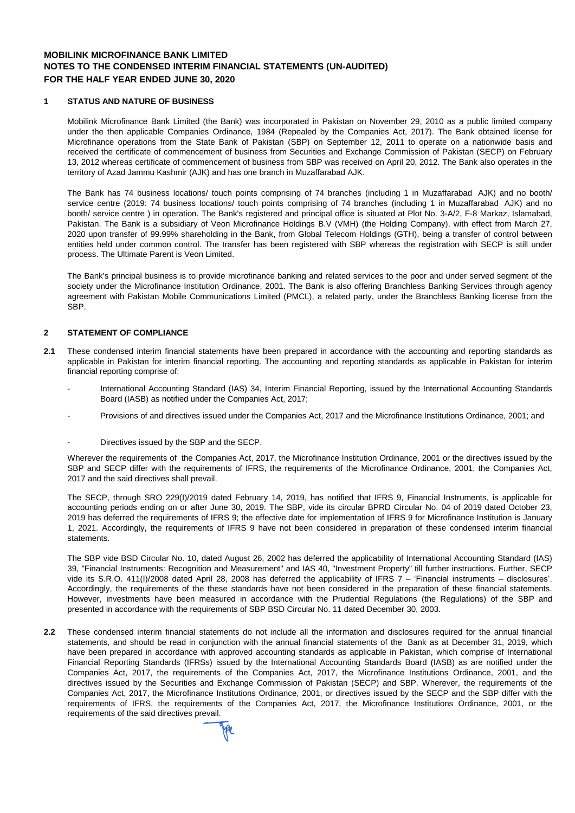### **1 STATUS AND NATURE OF BUSINESS**

Mobilink Microfinance Bank Limited (the Bank) was incorporated in Pakistan on November 29, 2010 as a public limited company under the then applicable Companies Ordinance, 1984 (Repealed by the Companies Act, 2017). The Bank obtained license for Microfinance operations from the State Bank of Pakistan (SBP) on September 12, 2011 to operate on a nationwide basis and received the certificate of commencement of business from Securities and Exchange Commission of Pakistan (SECP) on February 13, 2012 whereas certificate of commencement of business from SBP was received on April 20, 2012. The Bank also operates in the territory of Azad Jammu Kashmir (AJK) and has one branch in Muzaffarabad AJK.

The Bank has 74 business locations/ touch points comprising of 74 branches (including 1 in Muzaffarabad AJK) and no booth/ service centre (2019: 74 business locations/ touch points comprising of 74 branches (including 1 in Muzaffarabad AJK) and no booth/ service centre ) in operation. The Bank's registered and principal office is situated at Plot No. 3-A/2, F-8 Markaz, Islamabad, Pakistan. The Bank is a subsidiary of Veon Microfinance Holdings B.V (VMH) (the Holding Company), with effect from March 27, 2020 upon transfer of 99.99% shareholding in the Bank, from Global Telecom Holdings (GTH), being a transfer of control between entities held under common control. The transfer has been registered with SBP whereas the registration with SECP is still under process. The Ultimate Parent is Veon Limited.

The Bank's principal business is to provide microfinance banking and related services to the poor and under served segment of the society under the Microfinance Institution Ordinance, 2001. The Bank is also offering Branchless Banking Services through agency agreement with Pakistan Mobile Communications Limited (PMCL), a related party, under the Branchless Banking license from the SBP.

### **2 STATEMENT OF COMPLIANCE**

- **2.1** These condensed interim financial statements have been prepared in accordance with the accounting and reporting standards as applicable in Pakistan for interim financial reporting. The accounting and reporting standards as applicable in Pakistan for interim financial reporting comprise of:
	- International Accounting Standard (IAS) 34, Interim Financial Reporting, issued by the International Accounting Standards Board (IASB) as notified under the Companies Act, 2017;
	- Provisions of and directives issued under the Companies Act, 2017 and the Microfinance Institutions Ordinance, 2001; and
	- Directives issued by the SBP and the SECP.

Wherever the requirements of the Companies Act, 2017, the Microfinance Institution Ordinance, 2001 or the directives issued by the SBP and SECP differ with the requirements of IFRS, the requirements of the Microfinance Ordinance, 2001, the Companies Act, 2017 and the said directives shall prevail.

The SECP, through SRO 229(I)/2019 dated February 14, 2019, has notified that IFRS 9, Financial Instruments, is applicable for accounting periods ending on or after June 30, 2019. The SBP, vide its circular BPRD Circular No. 04 of 2019 dated October 23, 2019 has deferred the requirements of IFRS 9; the effective date for implementation of IFRS 9 for Microfinance Institution is January 1, 2021. Accordingly, the requirements of IFRS 9 have not been considered in preparation of these condensed interim financial statements.

The SBP vide BSD Circular No. 10, dated August 26, 2002 has deferred the applicability of International Accounting Standard (IAS) 39, "Financial Instruments: Recognition and Measurement" and IAS 40, "Investment Property" till further instructions. Further, SECP vide its S.R.O. 411(I)/2008 dated April 28, 2008 has deferred the applicability of IFRS 7 – 'Financial instruments – disclosures'. Accordingly, the requirements of the these standards have not been considered in the preparation of these financial statements. However, investments have been measured in accordance with the Prudential Regulations (the Regulations) of the SBP and presented in accordance with the requirements of SBP BSD Circular No. 11 dated December 30, 2003.

**2.2** These condensed interim financial statements do not include all the information and disclosures required for the annual financial statements, and should be read in conjunction with the annual financial statements of the Bank as at December 31, 2019, which have been prepared in accordance with approved accounting standards as applicable in Pakistan, which comprise of International Financial Reporting Standards (IFRSs) issued by the International Accounting Standards Board (IASB) as are notified under the Companies Act, 2017, the requirements of the Companies Act, 2017, the Microfinance Institutions Ordinance, 2001, and the directives issued by the Securities and Exchange Commission of Pakistan (SECP) and SBP. Wherever, the requirements of the Companies Act, 2017, the Microfinance Institutions Ordinance, 2001, or directives issued by the SECP and the SBP differ with the requirements of IFRS, the requirements of the Companies Act, 2017, the Microfinance Institutions Ordinance, 2001, or the requirements of the said directives prevail.

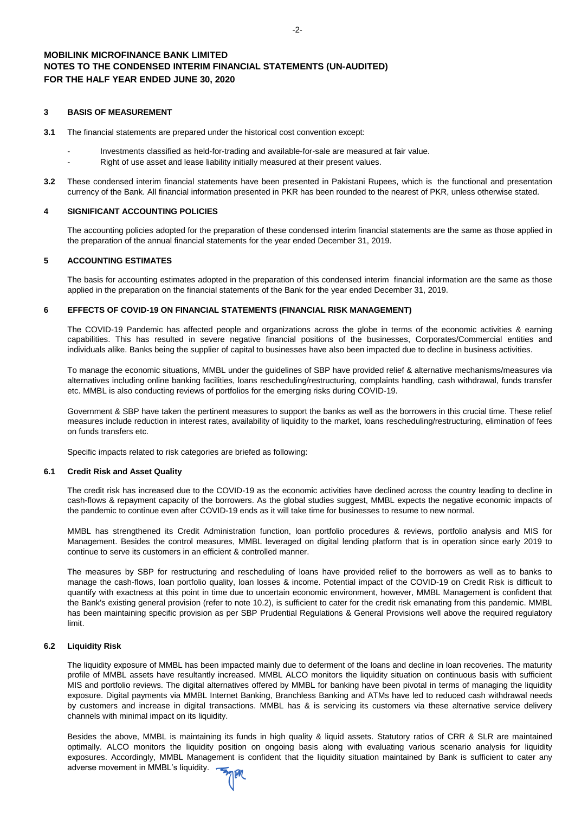### **3 BASIS OF MEASUREMENT**

- **3.1** The financial statements are prepared under the historical cost convention except:
	- Investments classified as held-for-trading and available-for-sale are measured at fair value.
	- Right of use asset and lease liability initially measured at their present values.
- **3.2** These condensed interim financial statements have been presented in Pakistani Rupees, which is the functional and presentation currency of the Bank. All financial information presented in PKR has been rounded to the nearest of PKR, unless otherwise stated.

#### **4 SIGNIFICANT ACCOUNTING POLICIES**

The accounting policies adopted for the preparation of these condensed interim financial statements are the same as those applied in the preparation of the annual financial statements for the year ended December 31, 2019.

#### **5 ACCOUNTING ESTIMATES**

The basis for accounting estimates adopted in the preparation of this condensed interim financial information are the same as those applied in the preparation on the financial statements of the Bank for the year ended December 31, 2019.

#### **6 EFFECTS OF COVID-19 ON FINANCIAL STATEMENTS (FINANCIAL RISK MANAGEMENT)**

The COVID-19 Pandemic has affected people and organizations across the globe in terms of the economic activities & earning capabilities. This has resulted in severe negative financial positions of the businesses, Corporates/Commercial entities and individuals alike. Banks being the supplier of capital to businesses have also been impacted due to decline in business activities.

To manage the economic situations, MMBL under the guidelines of SBP have provided relief & alternative mechanisms/measures via alternatives including online banking facilities, loans rescheduling/restructuring, complaints handling, cash withdrawal, funds transfer etc. MMBL is also conducting reviews of portfolios for the emerging risks during COVID-19.

Government & SBP have taken the pertinent measures to support the banks as well as the borrowers in this crucial time. These relief measures include reduction in interest rates, availability of liquidity to the market, loans rescheduling/restructuring, elimination of fees on funds transfers etc.

Specific impacts related to risk categories are briefed as following:

#### **6.1 Credit Risk and Asset Quality**

The credit risk has increased due to the COVID-19 as the economic activities have declined across the country leading to decline in cash-flows & repayment capacity of the borrowers. As the global studies suggest, MMBL expects the negative economic impacts of the pandemic to continue even after COVID-19 ends as it will take time for businesses to resume to new normal.

MMBL has strengthened its Credit Administration function, loan portfolio procedures & reviews, portfolio analysis and MIS for Management. Besides the control measures, MMBL leveraged on digital lending platform that is in operation since early 2019 to continue to serve its customers in an efficient & controlled manner.

The measures by SBP for restructuring and rescheduling of loans have provided relief to the borrowers as well as to banks to manage the cash-flows, loan portfolio quality, loan losses & income. Potential impact of the COVID-19 on Credit Risk is difficult to quantify with exactness at this point in time due to uncertain economic environment, however, MMBL Management is confident that the Bank's existing general provision (refer to note 10.2), is sufficient to cater for the credit risk emanating from this pandemic. MMBL has been maintaining specific provision as per SBP Prudential Regulations & General Provisions well above the required regulatory limit.

#### **6.2 Liquidity Risk**

The liquidity exposure of MMBL has been impacted mainly due to deferment of the loans and decline in loan recoveries. The maturity profile of MMBL assets have resultantly increased. MMBL ALCO monitors the liquidity situation on continuous basis with sufficient MIS and portfolio reviews. The digital alternatives offered by MMBL for banking have been pivotal in terms of managing the liquidity exposure. Digital payments via MMBL Internet Banking, Branchless Banking and ATMs have led to reduced cash withdrawal needs by customers and increase in digital transactions. MMBL has & is servicing its customers via these alternative service delivery channels with minimal impact on its liquidity.

Besides the above, MMBL is maintaining its funds in high quality & liquid assets. Statutory ratios of CRR & SLR are maintained optimally. ALCO monitors the liquidity position on ongoing basis along with evaluating various scenario analysis for liquidity exposures. Accordingly, MMBL Management is confident that the liquidity situation maintained by Bank is sufficient to cater any Burnally exposures. Accordingly, MINIDL MARK CONSUMING THE RESERVE OF THE RESERVE OF THE RESERVE OF THE RESERVE OF THE RESERVE OF THE RESERVE OF THE RESERVE OF THE RESERVE OF THE RESERVE OF THE RESERVE OF THE RESERVE OF TH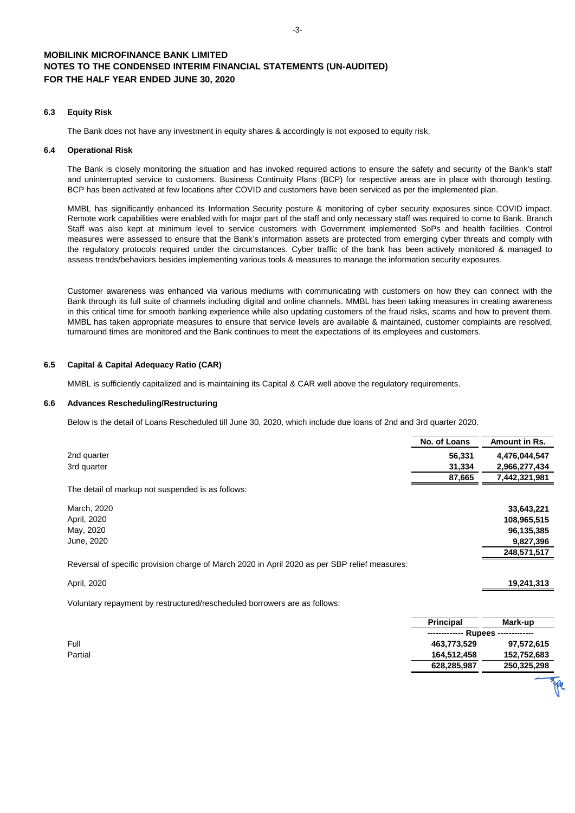### **6.3 Equity Risk**

The Bank does not have any investment in equity shares & accordingly is not exposed to equity risk.

#### **6.4 Operational Risk**

The Bank is closely monitoring the situation and has invoked required actions to ensure the safety and security of the Bank's staff and uninterrupted service to customers. Business Continuity Plans (BCP) for respective areas are in place with thorough testing. BCP has been activated at few locations after COVID and customers have been serviced as per the implemented plan.

MMBL has significantly enhanced its Information Security posture & monitoring of cyber security exposures since COVID impact. Remote work capabilities were enabled with for major part of the staff and only necessary staff was required to come to Bank. Branch Staff was also kept at minimum level to service customers with Government implemented SoPs and health facilities. Control measures were assessed to ensure that the Bank's information assets are protected from emerging cyber threats and comply with the regulatory protocols required under the circumstances. Cyber traffic of the bank has been actively monitored & managed to assess trends/behaviors besides implementing various tools & measures to manage the information security exposures.

Customer awareness was enhanced via various mediums with communicating with customers on how they can connect with the Bank through its full suite of channels including digital and online channels. MMBL has been taking measures in creating awareness in this critical time for smooth banking experience while also updating customers of the fraud risks, scams and how to prevent them. MMBL has taken appropriate measures to ensure that service levels are available & maintained, customer complaints are resolved, turnaround times are monitored and the Bank continues to meet the expectations of its employees and customers.

### **6.5 Capital & Capital Adequacy Ratio (CAR)**

MMBL is sufficiently capitalized and is maintaining its Capital & CAR well above the regulatory requirements.

#### **6.6 Advances Rescheduling/Restructuring**

Below is the detail of Loans Rescheduled till June 30, 2020, which include due loans of 2nd and 3rd quarter 2020.

|                                                                                               | No. of Loans | Amount in Rs. |
|-----------------------------------------------------------------------------------------------|--------------|---------------|
| 2nd quarter                                                                                   | 56,331       | 4,476,044,547 |
| 3rd quarter                                                                                   | 31,334       | 2,966,277,434 |
|                                                                                               | 87,665       | 7,442,321,981 |
| The detail of markup not suspended is as follows:                                             |              |               |
| March, 2020                                                                                   |              | 33,643,221    |
| April, 2020                                                                                   |              | 108,965,515   |
| May, 2020                                                                                     |              | 96,135,385    |
| June, 2020                                                                                    |              | 9,827,396     |
|                                                                                               |              | 248,571,517   |
| Reversal of specific provision charge of March 2020 in April 2020 as per SBP relief measures: |              |               |
| April, 2020                                                                                   |              | 19,241,313    |
| Voluntary repayment by restructured/rescheduled borrowers are as follows:                     |              |               |

|         | <b>Principal</b> | Mark-up     |
|---------|------------------|-------------|
|         |                  |             |
| Full    | 463.773.529      | 97,572,615  |
| Partial | 164,512,458      | 152,752,683 |
|         | 628,285,987      | 250,325,298 |
|         |                  |             |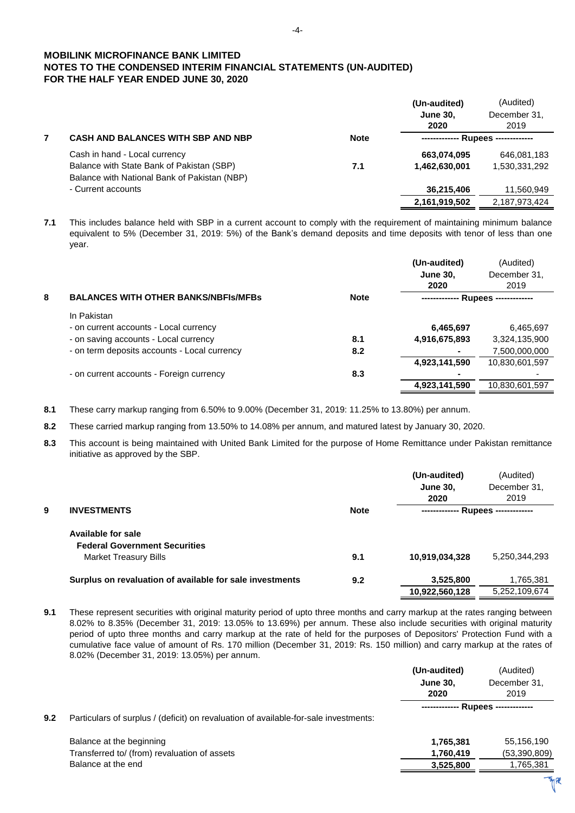|   |                                              |             | (Un-audited)<br><b>June 30,</b><br>2020 | (Audited)<br>December 31,<br>2019 |
|---|----------------------------------------------|-------------|-----------------------------------------|-----------------------------------|
| 7 | <b>CASH AND BALANCES WITH SBP AND NBP</b>    | <b>Note</b> | ------------- Rupees -------------      |                                   |
|   | Cash in hand - Local currency                |             | 663,074,095                             | 646,081,183                       |
|   | Balance with State Bank of Pakistan (SBP)    | 7.1         | 1,462,630,001                           | 1,530,331,292                     |
|   | Balance with National Bank of Pakistan (NBP) |             |                                         |                                   |
|   | - Current accounts                           |             | 36,215,406                              | 11,560,949                        |
|   |                                              |             | 2,161,919,502                           | 2,187,973,424                     |

**7.1** This includes balance held with SBP in a current account to comply with the requirement of maintaining minimum balance equivalent to 5% (December 31, 2019: 5%) of the Bank's demand deposits and time deposits with tenor of less than one year.

|   |                                                                                                                                                |             | (Un-audited)<br><b>June 30.</b><br>2020 | (Audited)<br>December 31,<br>2019           |
|---|------------------------------------------------------------------------------------------------------------------------------------------------|-------------|-----------------------------------------|---------------------------------------------|
| 8 | <b>BALANCES WITH OTHER BANKS/NBFIS/MFBS</b>                                                                                                    | <b>Note</b> | ------------- Rupees ------------       |                                             |
|   | In Pakistan<br>- on current accounts - Local currency<br>- on saving accounts - Local currency<br>- on term deposits accounts - Local currency | 8.1<br>8.2  | 6,465,697<br>4,916,675,893              | 6.465,697<br>3,324,135,900<br>7,500,000,000 |
|   | - on current accounts - Foreign currency                                                                                                       | 8.3         | 4,923,141,590                           | 10,830,601,597                              |
|   |                                                                                                                                                |             | 4,923,141,590                           | 10,830,601,597                              |

**8.1** These carry markup ranging from 6.50% to 9.00% (December 31, 2019: 11.25% to 13.80%) per annum.

**8.2** These carried markup ranging from 13.50% to 14.08% per annum, and matured latest by January 30, 2020.

**8.3** This account is being maintained with United Bank Limited for the purpose of Home Remittance under Pakistan remittance initiative as approved by the SBP.

|   |                                                          |             | (Un-audited)<br><b>June 30,</b><br>2020 | (Audited)<br>December 31.<br>2019 |
|---|----------------------------------------------------------|-------------|-----------------------------------------|-----------------------------------|
| 9 | <b>INVESTMENTS</b>                                       | <b>Note</b> |                                         | -- Rupees -------------           |
|   | Available for sale                                       |             |                                         |                                   |
|   | <b>Federal Government Securities</b>                     |             |                                         |                                   |
|   | Market Treasury Bills                                    | 9.1         | 10,919,034,328                          | 5,250,344,293                     |
|   | Surplus on revaluation of available for sale investments | 9.2         | 3,525,800                               | 1,765,381                         |
|   |                                                          |             | 10,922,560,128                          | 5,252,109,674                     |

**9.1** These represent securities with original maturity period of upto three months and carry markup at the rates ranging between 8.02% to 8.35% (December 31, 2019: 13.05% to 13.69%) per annum. These also include securities with original maturity period of upto three months and carry markup at the rate of held for the purposes of Depositors' Protection Fund with a cumulative face value of amount of Rs. 170 million (December 31, 2019: Rs. 150 million) and carry markup at the rates of 8.02% (December 31, 2019: 13.05%) per annum.

|     |                                                                                      | (Un-audited)<br><b>June 30,</b><br>2020 | (Audited)<br>December 31,<br>2019 |
|-----|--------------------------------------------------------------------------------------|-----------------------------------------|-----------------------------------|
| 9.2 | Particulars of surplus / (deficit) on revaluation of available-for-sale investments: | ------------- Rupees -------------      |                                   |
|     | Balance at the beginning                                                             | 1,765,381                               | 55,156,190                        |
|     | Transferred to/ (from) revaluation of assets                                         | 1,760,419                               | (53,390,809)                      |
|     | Balance at the end                                                                   | 3,525,800                               | 1,765,381                         |
|     |                                                                                      |                                         |                                   |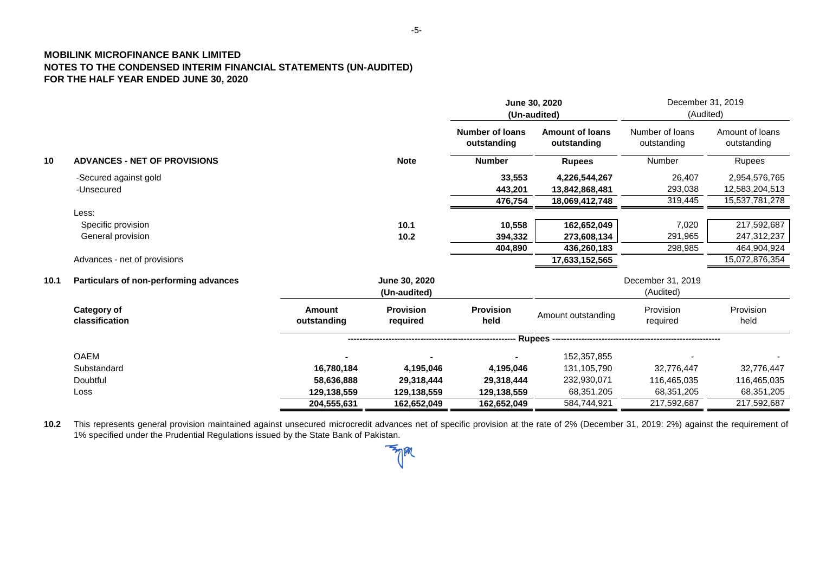|      |                                        |                              |                               | June 30, 2020<br>(Un-audited)         |                                       | December 31, 2019<br>(Audited) |                                |
|------|----------------------------------------|------------------------------|-------------------------------|---------------------------------------|---------------------------------------|--------------------------------|--------------------------------|
|      |                                        |                              |                               | <b>Number of loans</b><br>outstanding | <b>Amount of loans</b><br>outstanding | Number of loans<br>outstanding | Amount of loans<br>outstanding |
| 10   | <b>ADVANCES - NET OF PROVISIONS</b>    |                              | <b>Note</b>                   | <b>Number</b>                         | <b>Rupees</b>                         | Number                         | Rupees                         |
|      | -Secured against gold                  |                              |                               | 33,553                                | 4,226,544,267                         | 26,407                         | 2,954,576,765                  |
|      | -Unsecured                             |                              |                               | 443,201                               | 13,842,868,481                        | 293,038                        | 12,583,204,513                 |
|      |                                        |                              |                               | 476,754                               | 18,069,412,748                        | 319,445                        | 15,537,781,278                 |
|      | Less:                                  |                              |                               |                                       |                                       |                                |                                |
|      | Specific provision                     |                              | 10.1                          | 10,558                                | 162,652,049                           | 7,020                          | 217,592,687                    |
|      | General provision                      |                              | 10.2                          | 394,332                               | 273,608,134                           | 291,965                        | 247,312,237                    |
|      |                                        |                              |                               | 404,890                               | 436,260,183                           | 298,985                        | 464,904,924                    |
|      | Advances - net of provisions           |                              |                               |                                       | 17,633,152,565                        |                                | 15,072,876,354                 |
| 10.1 | Particulars of non-performing advances |                              | June 30, 2020<br>(Un-audited) |                                       |                                       | December 31, 2019<br>(Audited) |                                |
|      | <b>Category of</b><br>classification   | <b>Amount</b><br>outstanding | <b>Provision</b><br>required  | <b>Provision</b><br>held              | Amount outstanding                    | Provision<br>required          | Provision<br>held              |
|      |                                        | <b>Rupees</b>                |                               |                                       |                                       |                                |                                |
|      | <b>OAEM</b>                            |                              |                               |                                       | 152,357,855                           |                                |                                |
|      | Substandard                            | 16,780,184                   | 4,195,046                     | 4,195,046                             | 131,105,790                           | 32,776,447                     | 32,776,447                     |
|      | Doubtful                               | 58,636,888                   | 29,318,444                    | 29,318,444                            | 232,930,071                           | 116,465,035                    | 116,465,035                    |
|      | Loss                                   | 129,138,559                  | 129,138,559                   | 129,138,559                           | 68,351,205                            | 68,351,205                     | 68,351,205                     |
|      |                                        | 204,555,631                  | 162,652,049                   | 162,652,049                           | 584,744,921                           | 217,592,687                    | 217,592,687                    |

10.2 This represents general provision maintained against unsecured microcredit advances net of specific provision at the rate of 2% (December 31, 2019: 2%) against the requirement of 1% specified under the Prudential Regulations issued by the State Bank of Pakistan.

 $=$   $\frac{1}{2}$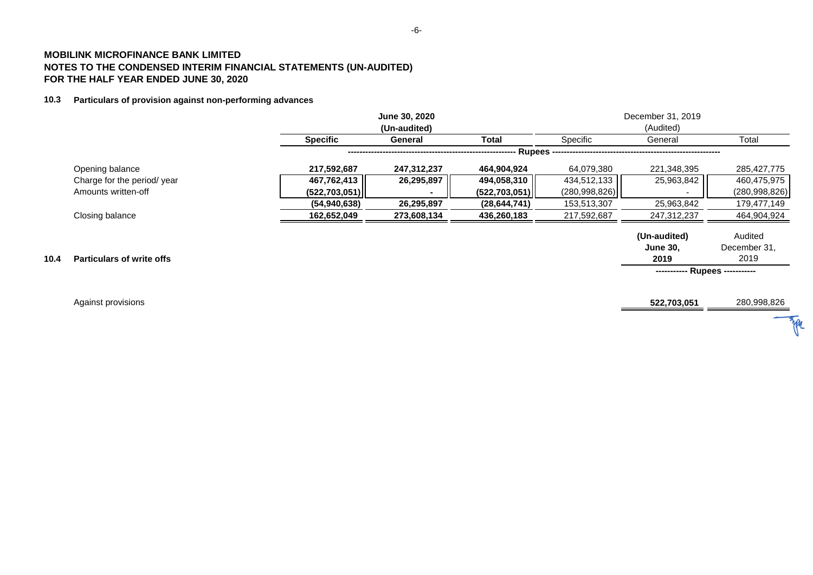### **10.3 Particulars of provision against non-performing advances**

|                            |                 | June 30, 2020 |                 |               | December 31, 2019 |                 |
|----------------------------|-----------------|---------------|-----------------|---------------|-------------------|-----------------|
|                            |                 | (Un-audited)  |                 |               | (Audited)         |                 |
|                            | <b>Specific</b> | General       | Total           | Specific      | General           | Total           |
|                            |                 |               | <b>Rupees</b>   |               |                   |                 |
| Opening balance            | 217,592,687     | 247.312.237   | 464.904.924     | 64.079.380    | 221,348,395       | 285,427,775     |
| Charge for the period/year | 467,762,413     | 26,295,897    | 494,058,310     | 434,512,133   | 25,963,842        | 460,475,975     |
| Amounts written-off        | (522,703,051)   |               | (522, 703, 051) | (280,998,826) |                   | (280, 998, 826) |
|                            | (54,940,638)    | 26,295,897    | (28, 644, 741)  | 153,513,307   | 25,963,842        | 179,477,149     |
| Closing balance            | 162,652,049     | 273,608,134   | 436,260,183     | 217,592,687   | 247,312,237       | 464,904,924     |
|                            |                 |               |                 |               |                   |                 |

### **10.4 Particulars of write offs**

**(Un-audited)** Audited **June 30, 2019** December 31, 2019

**----------- Rupees -----------**

Against provisions **522,703,051** 280,998,826

ya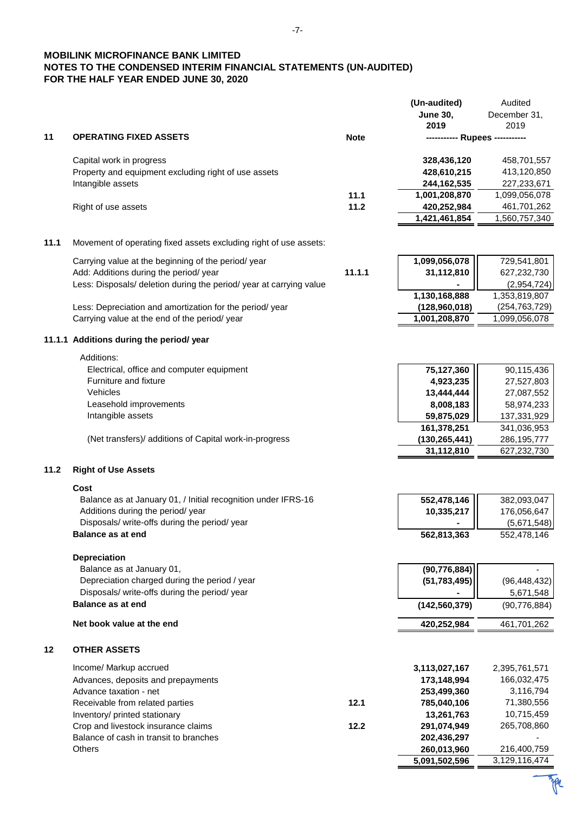|         |                                                                                                               |             | (Un-audited)                   | Audited                    |
|---------|---------------------------------------------------------------------------------------------------------------|-------------|--------------------------------|----------------------------|
|         |                                                                                                               |             | <b>June 30,</b><br>2019        | December 31,<br>2019       |
| 11      | <b>OPERATING FIXED ASSETS</b>                                                                                 | <b>Note</b> | ----------- Rupees ----------- |                            |
|         | Capital work in progress                                                                                      |             | 328,436,120                    | 458,701,557                |
|         | Property and equipment excluding right of use assets                                                          |             | 428,610,215                    | 413,120,850                |
|         | Intangible assets                                                                                             |             | 244, 162, 535                  | 227,233,671                |
|         |                                                                                                               | 11.1        | 1,001,208,870                  | 1,099,056,078              |
|         |                                                                                                               | 11.2        | 420,252,984                    | 461,701,262                |
|         | Right of use assets                                                                                           |             | 1,421,461,854                  | 1,560,757,340              |
| 11.1    | Movement of operating fixed assets excluding right of use assets:                                             |             |                                |                            |
|         |                                                                                                               |             |                                |                            |
|         | Carrying value at the beginning of the period/year                                                            | 11.1.1      | 1,099,056,078<br>31,112,810    | 729,541,801                |
|         | Add: Additions during the period/ year<br>Less: Disposals/ deletion during the period/ year at carrying value |             |                                | 627,232,730<br>(2,954,724) |
|         |                                                                                                               |             | 1,130,168,888                  | 1,353,819,807              |
|         | Less: Depreciation and amortization for the period/ year                                                      |             | (128, 960, 018)                | (254, 763, 729)            |
|         | Carrying value at the end of the period/year                                                                  |             | 1,001,208,870                  | 1,099,056,078              |
|         | 11.1.1 Additions during the period/ year                                                                      |             |                                |                            |
|         | Additions:                                                                                                    |             |                                |                            |
|         | Electrical, office and computer equipment                                                                     |             | 75,127,360                     | 90,115,436                 |
|         | Furniture and fixture                                                                                         |             | 4,923,235                      | 27,527,803                 |
|         | Vehicles                                                                                                      |             | 13,444,444                     | 27,087,552                 |
|         | Leasehold improvements                                                                                        |             | 8,008,183                      | 58,974,233                 |
|         | Intangible assets                                                                                             |             | 59,875,029                     | 137,331,929                |
|         |                                                                                                               |             | 161,378,251                    | 341,036,953                |
|         | (Net transfers)/ additions of Capital work-in-progress                                                        |             | (130, 265, 441)                | 286,195,777                |
|         |                                                                                                               |             | 31,112,810                     | 627,232,730                |
| 11.2    | <b>Right of Use Assets</b>                                                                                    |             |                                |                            |
|         | Cost                                                                                                          |             |                                |                            |
|         | Balance as at January 01, / Initial recognition under IFRS-16                                                 |             | 552,478,146                    | 382,093,047                |
|         | Additions during the period/year                                                                              |             | 10,335,217                     | 176,056,647                |
|         | Disposals/ write-offs during the period/ year                                                                 |             |                                | (5,671,548)                |
|         | <b>Balance as at end</b>                                                                                      |             | 562,813,363                    | 552,478,146                |
|         | Depreciation                                                                                                  |             |                                |                            |
|         | Balance as at January 01,                                                                                     |             | (90, 776, 884)                 |                            |
|         | Depreciation charged during the period / year                                                                 |             | (51, 783, 495)                 | (96, 448, 432)             |
|         | Disposals/ write-offs during the period/ year                                                                 |             |                                | 5,671,548                  |
|         | <b>Balance as at end</b>                                                                                      |             | (142, 560, 379)                | (90, 776, 884)             |
|         | Net book value at the end                                                                                     |             | 420,252,984                    | 461,701,262                |
| $12 \,$ | <b>OTHER ASSETS</b>                                                                                           |             |                                |                            |
|         | Income/ Markup accrued                                                                                        |             | 3,113,027,167                  | 2,395,761,571              |
|         | Advances, deposits and prepayments                                                                            |             | 173,148,994                    | 166,032,475                |
|         | Advance taxation - net                                                                                        |             | 253,499,360                    | 3,116,794                  |
|         | Receivable from related parties                                                                               | 12.1        | 785,040,106                    | 71,380,556                 |
|         | Inventory/ printed stationary                                                                                 |             | 13,261,763                     | 10,715,459                 |
|         | Crop and livestock insurance claims                                                                           | 12.2        | 291,074,949                    | 265,708,860                |
|         | Balance of cash in transit to branches                                                                        |             | 202,436,297                    |                            |
|         | <b>Others</b>                                                                                                 |             | 260,013,960                    | 216,400,759                |
|         |                                                                                                               |             | 5,091,502,596                  | 3,129,116,474              |
|         |                                                                                                               |             |                                |                            |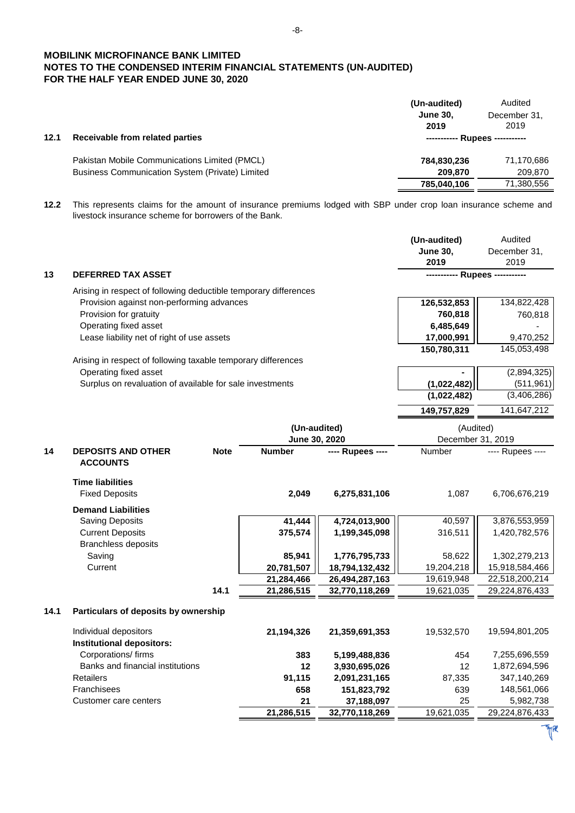|      |                                                        | (Un-audited)<br><b>June 30,</b><br>2019 | Audited<br>December 31,<br>2019 |  |
|------|--------------------------------------------------------|-----------------------------------------|---------------------------------|--|
| 12.1 | Receivable from related parties                        |                                         | ----------- Rupees -----------  |  |
|      | Pakistan Mobile Communications Limited (PMCL)          | 784,830,236                             | 71,170,686                      |  |
|      | <b>Business Communication System (Private) Limited</b> | 209.870                                 | 209,870                         |  |
|      |                                                        | 785,040,106                             | 71,380,556                      |  |

**12.2** This represents claims for the amount of insurance premiums lodged with SBP under crop loan insurance scheme and livestock insurance scheme for borrowers of the Bank.

| ----------- Rupees -----------<br>13<br><b>DEFERRED TAX ASSET</b><br>Arising in respect of following deductible temporary differences<br>Provision against non-performing advances<br>134,822,428<br>126,532,853<br>Provision for gratuity<br>760,818<br>760,818<br>Operating fixed asset<br>6,485,649<br>Lease liability net of right of use assets<br>17,000,991<br>9,470,252<br>150,780,311<br>145,053,498<br>Arising in respect of following taxable temporary differences<br>(2,894,325)<br>Operating fixed asset<br>Surplus on revaluation of available for sale investments<br>(1,022,482)<br>(1,022,482)<br>141,647,212<br>149,757,829<br>(Audited)<br>(Un-audited)<br>December 31, 2019<br>June 30, 2020<br><b>DEPOSITS AND OTHER</b><br>Number<br>14<br><b>Note</b><br><b>Number</b><br>---- Rupees ----<br>---- Rupees ----<br><b>ACCOUNTS</b><br><b>Time liabilities</b><br><b>Fixed Deposits</b><br>1,087<br>6,706,676,219<br>2,049<br>6,275,831,106<br><b>Demand Liabilities</b><br><b>Saving Deposits</b><br>41,444<br>40,597<br>3,876,553,959<br>4,724,013,900<br><b>Current Deposits</b><br>316,511<br>375,574<br>1,199,345,098<br>1,420,782,576<br><b>Branchless deposits</b><br>Saving<br>85,941<br>1,776,795,733<br>58,622<br>1,302,279,213<br>Current<br>20,781,507<br>18,794,132,432<br>19,204,218<br>15,918,584,466<br>26,494,287,163<br>19,619,948<br>21,284,466<br>22,518,200,214<br>14.1<br>32,770,118,269<br>21,286,515<br>19,621,035<br>29,224,876,433<br>14.1<br>Particulars of deposits by ownership<br>Individual depositors<br>19,532,570<br>19,594,801,205<br>21,194,326<br>21,359,691,353<br><b>Institutional depositors:</b><br>Corporations/ firms<br>7,255,696,559<br>383<br>5,199,488,836<br>454<br>Banks and financial institutions<br>1,872,694,596<br>12<br>3,930,695,026<br>12<br>Retailers<br>347,140,269<br>91,115<br>87,335<br>2,091,231,165<br>148,561,066<br>Franchisees<br>658<br>151,823,792<br>639<br>25<br>21<br>37,188,097<br>5,982,738<br>Customer care centers<br>21,286,515<br>32,770,118,269<br>19,621,035<br>29,224,876,433 |  |  | (Un-audited)<br><b>June 30,</b><br>2019 | Audited<br>December 31,<br>2019 |
|--------------------------------------------------------------------------------------------------------------------------------------------------------------------------------------------------------------------------------------------------------------------------------------------------------------------------------------------------------------------------------------------------------------------------------------------------------------------------------------------------------------------------------------------------------------------------------------------------------------------------------------------------------------------------------------------------------------------------------------------------------------------------------------------------------------------------------------------------------------------------------------------------------------------------------------------------------------------------------------------------------------------------------------------------------------------------------------------------------------------------------------------------------------------------------------------------------------------------------------------------------------------------------------------------------------------------------------------------------------------------------------------------------------------------------------------------------------------------------------------------------------------------------------------------------------------------------------------------------------------------------------------------------------------------------------------------------------------------------------------------------------------------------------------------------------------------------------------------------------------------------------------------------------------------------------------------------------------------------------------------------------------------------------------------------------------------------------|--|--|-----------------------------------------|---------------------------------|
|                                                                                                                                                                                                                                                                                                                                                                                                                                                                                                                                                                                                                                                                                                                                                                                                                                                                                                                                                                                                                                                                                                                                                                                                                                                                                                                                                                                                                                                                                                                                                                                                                                                                                                                                                                                                                                                                                                                                                                                                                                                                                      |  |  |                                         |                                 |
|                                                                                                                                                                                                                                                                                                                                                                                                                                                                                                                                                                                                                                                                                                                                                                                                                                                                                                                                                                                                                                                                                                                                                                                                                                                                                                                                                                                                                                                                                                                                                                                                                                                                                                                                                                                                                                                                                                                                                                                                                                                                                      |  |  |                                         |                                 |
|                                                                                                                                                                                                                                                                                                                                                                                                                                                                                                                                                                                                                                                                                                                                                                                                                                                                                                                                                                                                                                                                                                                                                                                                                                                                                                                                                                                                                                                                                                                                                                                                                                                                                                                                                                                                                                                                                                                                                                                                                                                                                      |  |  |                                         |                                 |
|                                                                                                                                                                                                                                                                                                                                                                                                                                                                                                                                                                                                                                                                                                                                                                                                                                                                                                                                                                                                                                                                                                                                                                                                                                                                                                                                                                                                                                                                                                                                                                                                                                                                                                                                                                                                                                                                                                                                                                                                                                                                                      |  |  |                                         |                                 |
|                                                                                                                                                                                                                                                                                                                                                                                                                                                                                                                                                                                                                                                                                                                                                                                                                                                                                                                                                                                                                                                                                                                                                                                                                                                                                                                                                                                                                                                                                                                                                                                                                                                                                                                                                                                                                                                                                                                                                                                                                                                                                      |  |  |                                         |                                 |
|                                                                                                                                                                                                                                                                                                                                                                                                                                                                                                                                                                                                                                                                                                                                                                                                                                                                                                                                                                                                                                                                                                                                                                                                                                                                                                                                                                                                                                                                                                                                                                                                                                                                                                                                                                                                                                                                                                                                                                                                                                                                                      |  |  |                                         |                                 |
|                                                                                                                                                                                                                                                                                                                                                                                                                                                                                                                                                                                                                                                                                                                                                                                                                                                                                                                                                                                                                                                                                                                                                                                                                                                                                                                                                                                                                                                                                                                                                                                                                                                                                                                                                                                                                                                                                                                                                                                                                                                                                      |  |  |                                         |                                 |
|                                                                                                                                                                                                                                                                                                                                                                                                                                                                                                                                                                                                                                                                                                                                                                                                                                                                                                                                                                                                                                                                                                                                                                                                                                                                                                                                                                                                                                                                                                                                                                                                                                                                                                                                                                                                                                                                                                                                                                                                                                                                                      |  |  |                                         |                                 |
|                                                                                                                                                                                                                                                                                                                                                                                                                                                                                                                                                                                                                                                                                                                                                                                                                                                                                                                                                                                                                                                                                                                                                                                                                                                                                                                                                                                                                                                                                                                                                                                                                                                                                                                                                                                                                                                                                                                                                                                                                                                                                      |  |  |                                         | (511, 961)                      |
|                                                                                                                                                                                                                                                                                                                                                                                                                                                                                                                                                                                                                                                                                                                                                                                                                                                                                                                                                                                                                                                                                                                                                                                                                                                                                                                                                                                                                                                                                                                                                                                                                                                                                                                                                                                                                                                                                                                                                                                                                                                                                      |  |  |                                         | (3,406,286)                     |
|                                                                                                                                                                                                                                                                                                                                                                                                                                                                                                                                                                                                                                                                                                                                                                                                                                                                                                                                                                                                                                                                                                                                                                                                                                                                                                                                                                                                                                                                                                                                                                                                                                                                                                                                                                                                                                                                                                                                                                                                                                                                                      |  |  |                                         |                                 |
|                                                                                                                                                                                                                                                                                                                                                                                                                                                                                                                                                                                                                                                                                                                                                                                                                                                                                                                                                                                                                                                                                                                                                                                                                                                                                                                                                                                                                                                                                                                                                                                                                                                                                                                                                                                                                                                                                                                                                                                                                                                                                      |  |  |                                         |                                 |
|                                                                                                                                                                                                                                                                                                                                                                                                                                                                                                                                                                                                                                                                                                                                                                                                                                                                                                                                                                                                                                                                                                                                                                                                                                                                                                                                                                                                                                                                                                                                                                                                                                                                                                                                                                                                                                                                                                                                                                                                                                                                                      |  |  |                                         |                                 |
|                                                                                                                                                                                                                                                                                                                                                                                                                                                                                                                                                                                                                                                                                                                                                                                                                                                                                                                                                                                                                                                                                                                                                                                                                                                                                                                                                                                                                                                                                                                                                                                                                                                                                                                                                                                                                                                                                                                                                                                                                                                                                      |  |  |                                         |                                 |
|                                                                                                                                                                                                                                                                                                                                                                                                                                                                                                                                                                                                                                                                                                                                                                                                                                                                                                                                                                                                                                                                                                                                                                                                                                                                                                                                                                                                                                                                                                                                                                                                                                                                                                                                                                                                                                                                                                                                                                                                                                                                                      |  |  |                                         |                                 |
|                                                                                                                                                                                                                                                                                                                                                                                                                                                                                                                                                                                                                                                                                                                                                                                                                                                                                                                                                                                                                                                                                                                                                                                                                                                                                                                                                                                                                                                                                                                                                                                                                                                                                                                                                                                                                                                                                                                                                                                                                                                                                      |  |  |                                         |                                 |
|                                                                                                                                                                                                                                                                                                                                                                                                                                                                                                                                                                                                                                                                                                                                                                                                                                                                                                                                                                                                                                                                                                                                                                                                                                                                                                                                                                                                                                                                                                                                                                                                                                                                                                                                                                                                                                                                                                                                                                                                                                                                                      |  |  |                                         |                                 |
|                                                                                                                                                                                                                                                                                                                                                                                                                                                                                                                                                                                                                                                                                                                                                                                                                                                                                                                                                                                                                                                                                                                                                                                                                                                                                                                                                                                                                                                                                                                                                                                                                                                                                                                                                                                                                                                                                                                                                                                                                                                                                      |  |  |                                         |                                 |
|                                                                                                                                                                                                                                                                                                                                                                                                                                                                                                                                                                                                                                                                                                                                                                                                                                                                                                                                                                                                                                                                                                                                                                                                                                                                                                                                                                                                                                                                                                                                                                                                                                                                                                                                                                                                                                                                                                                                                                                                                                                                                      |  |  |                                         |                                 |
|                                                                                                                                                                                                                                                                                                                                                                                                                                                                                                                                                                                                                                                                                                                                                                                                                                                                                                                                                                                                                                                                                                                                                                                                                                                                                                                                                                                                                                                                                                                                                                                                                                                                                                                                                                                                                                                                                                                                                                                                                                                                                      |  |  |                                         |                                 |
|                                                                                                                                                                                                                                                                                                                                                                                                                                                                                                                                                                                                                                                                                                                                                                                                                                                                                                                                                                                                                                                                                                                                                                                                                                                                                                                                                                                                                                                                                                                                                                                                                                                                                                                                                                                                                                                                                                                                                                                                                                                                                      |  |  |                                         |                                 |
|                                                                                                                                                                                                                                                                                                                                                                                                                                                                                                                                                                                                                                                                                                                                                                                                                                                                                                                                                                                                                                                                                                                                                                                                                                                                                                                                                                                                                                                                                                                                                                                                                                                                                                                                                                                                                                                                                                                                                                                                                                                                                      |  |  |                                         |                                 |
|                                                                                                                                                                                                                                                                                                                                                                                                                                                                                                                                                                                                                                                                                                                                                                                                                                                                                                                                                                                                                                                                                                                                                                                                                                                                                                                                                                                                                                                                                                                                                                                                                                                                                                                                                                                                                                                                                                                                                                                                                                                                                      |  |  |                                         |                                 |
|                                                                                                                                                                                                                                                                                                                                                                                                                                                                                                                                                                                                                                                                                                                                                                                                                                                                                                                                                                                                                                                                                                                                                                                                                                                                                                                                                                                                                                                                                                                                                                                                                                                                                                                                                                                                                                                                                                                                                                                                                                                                                      |  |  |                                         |                                 |
|                                                                                                                                                                                                                                                                                                                                                                                                                                                                                                                                                                                                                                                                                                                                                                                                                                                                                                                                                                                                                                                                                                                                                                                                                                                                                                                                                                                                                                                                                                                                                                                                                                                                                                                                                                                                                                                                                                                                                                                                                                                                                      |  |  |                                         |                                 |
|                                                                                                                                                                                                                                                                                                                                                                                                                                                                                                                                                                                                                                                                                                                                                                                                                                                                                                                                                                                                                                                                                                                                                                                                                                                                                                                                                                                                                                                                                                                                                                                                                                                                                                                                                                                                                                                                                                                                                                                                                                                                                      |  |  |                                         |                                 |
|                                                                                                                                                                                                                                                                                                                                                                                                                                                                                                                                                                                                                                                                                                                                                                                                                                                                                                                                                                                                                                                                                                                                                                                                                                                                                                                                                                                                                                                                                                                                                                                                                                                                                                                                                                                                                                                                                                                                                                                                                                                                                      |  |  |                                         |                                 |
|                                                                                                                                                                                                                                                                                                                                                                                                                                                                                                                                                                                                                                                                                                                                                                                                                                                                                                                                                                                                                                                                                                                                                                                                                                                                                                                                                                                                                                                                                                                                                                                                                                                                                                                                                                                                                                                                                                                                                                                                                                                                                      |  |  |                                         |                                 |
|                                                                                                                                                                                                                                                                                                                                                                                                                                                                                                                                                                                                                                                                                                                                                                                                                                                                                                                                                                                                                                                                                                                                                                                                                                                                                                                                                                                                                                                                                                                                                                                                                                                                                                                                                                                                                                                                                                                                                                                                                                                                                      |  |  |                                         |                                 |
|                                                                                                                                                                                                                                                                                                                                                                                                                                                                                                                                                                                                                                                                                                                                                                                                                                                                                                                                                                                                                                                                                                                                                                                                                                                                                                                                                                                                                                                                                                                                                                                                                                                                                                                                                                                                                                                                                                                                                                                                                                                                                      |  |  |                                         |                                 |
|                                                                                                                                                                                                                                                                                                                                                                                                                                                                                                                                                                                                                                                                                                                                                                                                                                                                                                                                                                                                                                                                                                                                                                                                                                                                                                                                                                                                                                                                                                                                                                                                                                                                                                                                                                                                                                                                                                                                                                                                                                                                                      |  |  |                                         |                                 |

TR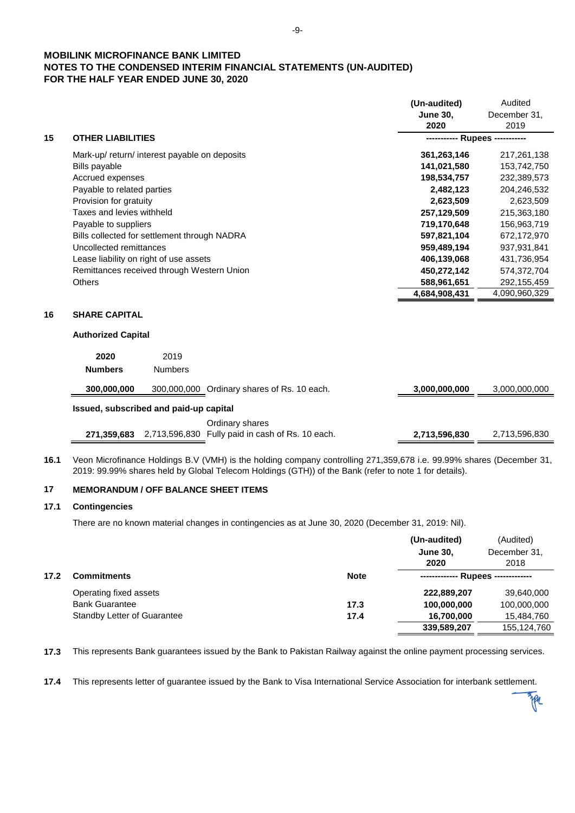|    |                                              |                |                                 | (Un-audited)                   | Audited       |
|----|----------------------------------------------|----------------|---------------------------------|--------------------------------|---------------|
|    |                                              |                |                                 | <b>June 30,</b>                | December 31,  |
|    |                                              |                |                                 | 2020                           | 2019          |
| 15 | <b>OTHER LIABILITIES</b>                     |                |                                 | ----------- Rupees ----------- |               |
|    | Mark-up/return/interest payable on deposits  |                |                                 | 361,263,146                    | 217,261,138   |
|    | Bills payable                                |                |                                 | 141,021,580                    | 153,742,750   |
|    | Accrued expenses                             |                |                                 | 198,534,757                    | 232,389,573   |
|    | Payable to related parties                   |                |                                 | 2,482,123                      | 204,246,532   |
|    | Provision for gratuity                       |                |                                 | 2,623,509                      | 2,623,509     |
|    | Taxes and levies withheld                    |                |                                 | 257,129,509                    | 215,363,180   |
|    | Payable to suppliers                         |                |                                 | 719,170,648                    | 156,963,719   |
|    | Bills collected for settlement through NADRA |                |                                 | 597,821,104                    | 672,172,970   |
|    | Uncollected remittances                      |                |                                 | 959,489,194                    | 937,931,841   |
|    | Lease liability on right of use assets       |                |                                 | 406,139,068                    | 431,736,954   |
|    | Remittances received through Western Union   |                |                                 | 450,272,142                    | 574,372,704   |
|    | <b>Others</b>                                |                |                                 | 588,961,651                    | 292,155,459   |
|    |                                              |                |                                 | 4,684,908,431                  | 4,090,960,329 |
| 16 | <b>SHARE CAPITAL</b>                         |                |                                 |                                |               |
|    | <b>Authorized Capital</b>                    |                |                                 |                                |               |
|    | 2020                                         | 2019           |                                 |                                |               |
|    | <b>Numbers</b>                               | <b>Numbers</b> |                                 |                                |               |
|    | 300,000,000                                  | 300,000,000    | Ordinary shares of Rs. 10 each. | 3,000,000,000                  | 3,000,000,000 |
|    | Issued, subscribed and paid-up capital       |                |                                 |                                |               |
|    |                                              |                | Ordinary shares                 |                                |               |

**16.1** Veon Microfinance Holdings B.V (VMH) is the holding company controlling 271,359,678 i.e. 99.99% shares (December 31,

 **271,359,683** 2,713,596,830 Fully paid in cash of Rs. 10 each. **2,713,596,830** 2,713,596,830

2019: 99.99% shares held by Global Telecom Holdings (GTH)) of the Bank (refer to note 1 for details).

### **17 MEMORANDUM / OFF BALANCE SHEET ITEMS**

### **17.1 Contingencies**

There are no known material changes in contingencies as at June 30, 2020 (December 31, 2019: Nil).

|      |                                    |             | (Un-audited)<br><b>June 30,</b><br>2020 | (Audited)<br>December 31,<br>2018 |
|------|------------------------------------|-------------|-----------------------------------------|-----------------------------------|
| 17.2 | <b>Commitments</b>                 | <b>Note</b> | ------------- Rupees -------------      |                                   |
|      | Operating fixed assets             |             | 222,889,207                             | 39,640,000                        |
|      | <b>Bank Guarantee</b>              | 17.3        | 100,000,000                             | 100,000,000                       |
|      | <b>Standby Letter of Guarantee</b> | 17.4        | 16,700,000                              | 15,484,760                        |
|      |                                    |             | 339,589,207                             | 155,124,760                       |

**17.3** This represents Bank guarantees issued by the Bank to Pakistan Railway against the online payment processing services.

**17.4** This represents letter of guarantee issued by the Bank to Visa International Service Association for interbank settlement.

yen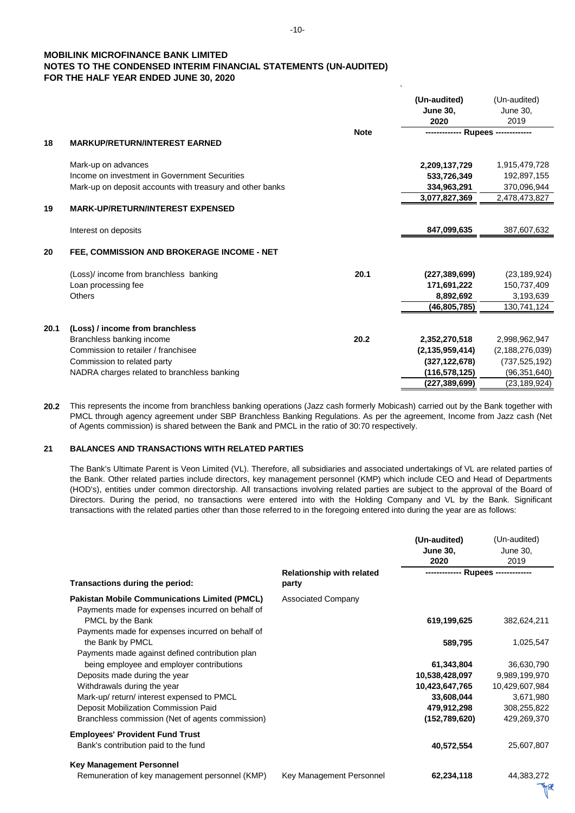#### -10-

`

### **MOBILINK MICROFINANCE BANK LIMITED NOTES TO THE CONDENSED INTERIM FINANCIAL STATEMENTS (UN-AUDITED) FOR THE HALF YEAR ENDED JUNE 30, 2020**

|      |                                                           |             | (Un-audited)<br><b>June 30,</b>  | (Un-audited)<br>June 30, |
|------|-----------------------------------------------------------|-------------|----------------------------------|--------------------------|
|      |                                                           |             | 2020                             | 2019                     |
|      |                                                           | <b>Note</b> | ------------ Rupees ------------ |                          |
| 18   | <b>MARKUP/RETURN/INTEREST EARNED</b>                      |             |                                  |                          |
|      | Mark-up on advances                                       |             | 2,209,137,729                    | 1,915,479,728            |
|      | Income on investment in Government Securities             |             | 533,726,349                      | 192,897,155              |
|      | Mark-up on deposit accounts with treasury and other banks |             | 334,963,291                      | 370,096,944              |
|      |                                                           |             | 3,077,827,369                    | 2,478,473,827            |
| 19   | <b>MARK-UP/RETURN/INTEREST EXPENSED</b>                   |             |                                  |                          |
|      | Interest on deposits                                      |             | 847,099,635                      | 387,607,632              |
| 20   | FEE, COMMISSION AND BROKERAGE INCOME - NET                |             |                                  |                          |
|      | (Loss)/ income from branchless banking                    | 20.1        | (227, 389, 699)                  | (23, 189, 924)           |
|      | Loan processing fee                                       |             | 171,691,222                      | 150,737,409              |
|      | <b>Others</b>                                             |             | 8,892,692                        | 3,193,639                |
|      |                                                           |             | (46,805,785)                     | 130,741,124              |
| 20.1 | (Loss) / income from branchless                           |             |                                  |                          |
|      | Branchless banking income                                 | 20.2        | 2,352,270,518                    | 2,998,962,947            |
|      | Commission to retailer / franchisee                       |             | (2, 135, 959, 414)               | (2, 188, 276, 039)       |
|      | Commission to related party                               |             | (327, 122, 678)                  | (737, 525, 192)          |
|      | NADRA charges related to branchless banking               |             | (116, 578, 125)                  | (96, 351, 640)           |
|      |                                                           |             | (227, 389, 699)                  | (23, 189, 924)           |

**20.2** This represents the income from branchless banking operations (Jazz cash formerly Mobicash) carried out by the Bank together with PMCL through agency agreement under SBP Branchless Banking Regulations. As per the agreement, Income from Jazz cash (Net of Agents commission) is shared between the Bank and PMCL in the ratio of 30:70 respectively.

## **21 BALANCES AND TRANSACTIONS WITH RELATED PARTIES**

The Bank's Ultimate Parent is Veon Limited (VL). Therefore, all subsidiaries and associated undertakings of VL are related parties of the Bank. Other related parties include directors, key management personnel (KMP) which include CEO and Head of Departments (HOD's), entities under common directorship. All transactions involving related parties are subject to the approval of the Board of Directors. During the period, no transactions were entered into with the Holding Company and VL by the Bank. Significant transactions with the related parties other than those referred to in the foregoing entered into during the year are as follows:

|                                                                                                          |                                           | (Un-audited)<br><b>June 30,</b><br>2020 | (Un-audited)<br>June 30,<br>2019 |
|----------------------------------------------------------------------------------------------------------|-------------------------------------------|-----------------------------------------|----------------------------------|
| Transactions during the period:                                                                          | <b>Relationship with related</b><br>party | ------------ Rupees ------------        |                                  |
| <b>Pakistan Mobile Communications Limited (PMCL)</b><br>Payments made for expenses incurred on behalf of | <b>Associated Company</b>                 |                                         |                                  |
| PMCL by the Bank<br>Payments made for expenses incurred on behalf of                                     |                                           | 619,199,625                             | 382,624,211                      |
| the Bank by PMCL<br>Payments made against defined contribution plan                                      |                                           | 589,795                                 | 1,025,547                        |
| being employee and employer contributions                                                                |                                           | 61,343,804                              | 36,630,790                       |
| Deposits made during the year                                                                            |                                           | 10,538,428,097                          | 9,989,199,970                    |
| Withdrawals during the year                                                                              |                                           | 10,423,647,765                          | 10,429,607,984                   |
| Mark-up/ return/ interest expensed to PMCL                                                               |                                           | 33,608,044                              | 3,671,980                        |
| Deposit Mobilization Commission Paid                                                                     |                                           | 479,912,298                             | 308,255,822                      |
| Branchless commission (Net of agents commission)                                                         |                                           | (152,789,620)                           | 429,269,370                      |
| <b>Employees' Provident Fund Trust</b><br>Bank's contribution paid to the fund                           |                                           | 40,572,554                              | 25,607,807                       |
| <b>Key Management Personnel</b>                                                                          |                                           |                                         |                                  |
| Remuneration of key management personnel (KMP)                                                           | Key Management Personnel                  | 62,234,118                              | 44.383.272                       |